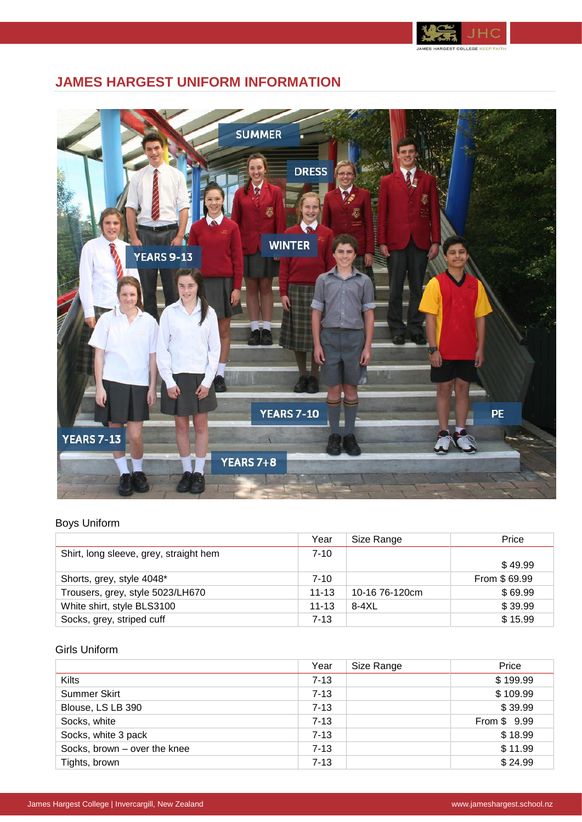

# **JAMES HARGEST UNIFORM INFORMATION**



## Boys Uniform

|                                        | Year      | Size Range     | Price        |
|----------------------------------------|-----------|----------------|--------------|
| Shirt, long sleeve, grey, straight hem | $7 - 10$  |                |              |
|                                        |           |                | \$49.99      |
| Shorts, grey, style 4048*              | 7-10      |                | From \$69.99 |
| Trousers, grey, style 5023/LH670       | $11 - 13$ | 10-16 76-120cm | \$69.99      |
| White shirt, style BLS3100             | $11 - 13$ | $8-4XL$        | \$39.99      |
| Socks, grey, striped cuff              | $7 - 13$  |                | \$15.99      |

### Girls Uniform

|                              | Year     | Size Range | Price        |
|------------------------------|----------|------------|--------------|
| Kilts                        | $7 - 13$ |            | \$199.99     |
| <b>Summer Skirt</b>          | $7 - 13$ |            | \$109.99     |
| Blouse, LS LB 390            | $7 - 13$ |            | \$39.99      |
| Socks, white                 | $7 - 13$ |            | From \$ 9.99 |
| Socks, white 3 pack          | $7 - 13$ |            | \$18.99      |
| Socks, brown - over the knee | $7 - 13$ |            | \$11.99      |
| Tights, brown                | $7 - 13$ |            | \$24.99      |